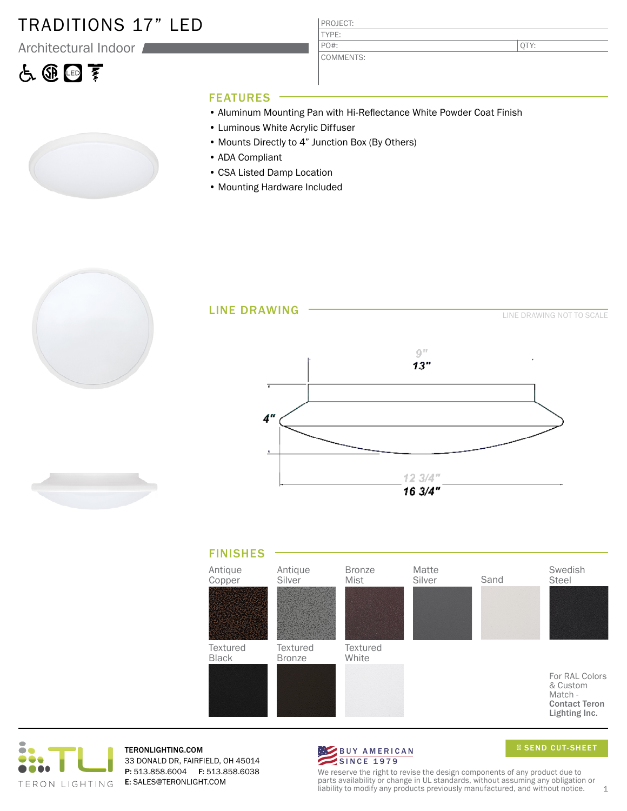#### TRADITIONS 17" LED

Architectural Indoor

# 占田国亨

PROJECT: COMMENTS:

QTY:

#### FEATURES

- Aluminum Mounting Pan with Hi-Reflectance White Powder Coat Finish
- Luminous White Acrylic Diffuser
- Mounts Directly to 4" Junction Box (By Others)

TYPE:

PO#:

- ADA Compliant
- CSA Listed Damp Location
- Mounting Hardware Included







TERONLIGHTING.COM 33 DONALD DR, FAIRFIELD, OH 45014 P: 513.858.6004 F: 513.858.6038 E: SALES@TERONLIGHT.COM



SEND CUT-SHEET

We reserve the right to revise the design components of any product due to parts availability or change in UL standards, without assuming any obligation or liability to modify any products previously manufactured, and without notice.  $1$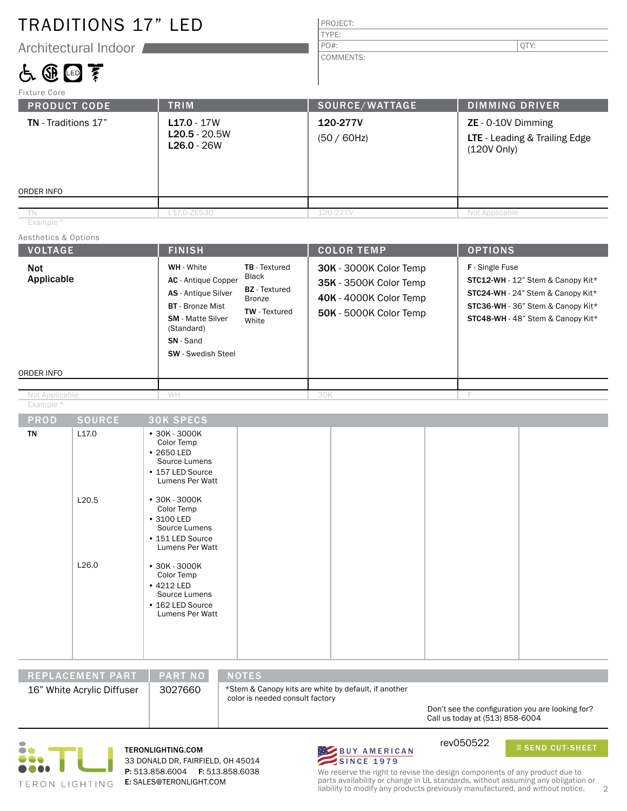### TRADITIONS 17" LED

Architectural Indoor

### 占田回至

| PROJECT: |  |
|----------|--|
| TYPE:    |  |
| $PO#$ :  |  |

COMMENTS:

| Fixture Core                             |                                                   |                            |                                                                      |
|------------------------------------------|---------------------------------------------------|----------------------------|----------------------------------------------------------------------|
| <b>PRODUCT CODE</b>                      | <b>TRIM</b>                                       | SOURCE/WATTAGE             | <b>DIMMING DRIVER</b>                                                |
| <b>TN</b> - Traditions 17"<br>ORDER INFO | $L17.0 - 17W$<br>$L20.5 - 20.5W$<br>$L26.0 - 26W$ | 120-277V<br>$(50 / 60$ Hz) | $ZE - 0-10V$ Dimming<br>LTE - Leading & Trailing Edge<br>(120V Only) |
|                                          |                                                   |                            |                                                                      |
| TN<br>Example ^                          | L17.0-ZE530                                       | 120-277V                   | Not Applicable                                                       |
| Aesthetics & Options                     |                                                   |                            |                                                                      |
| <b>VOLTAGE</b>                           | <b>FINISH</b>                                     | <b>COLOR TEMP</b>          | <b>OPTIONS</b>                                                       |

| <b>Not</b><br>Applicable    |                   | WH - White<br>TB - Textured<br>Black<br>AC - Antique Copper<br><b>BZ</b> - Textured<br>AS - Antique Silver<br><b>Bronze</b><br><b>BT</b> - Bronze Mist<br><b>TW</b> - Textured<br><b>SM</b> - Matte Silver<br>White<br>(Standard)<br>SN - Sand<br><b>SW</b> - Swedish Steel | 30K - 3000K Color Temp<br>35K - 3500K Color Temp<br>40K - 4000K Color Temp<br>50K - 5000K Color Temp | F - Single Fuse<br>STC12-WH - 12" Stem & Canopy Kit*<br>STC24-WH - 24" Stem & Canopy Kit*<br>STC36-WH - 36" Stem & Canopy Kit*<br>STC48-WH - 48" Stem & Canopy Kit* |
|-----------------------------|-------------------|-----------------------------------------------------------------------------------------------------------------------------------------------------------------------------------------------------------------------------------------------------------------------------|------------------------------------------------------------------------------------------------------|---------------------------------------------------------------------------------------------------------------------------------------------------------------------|
| ORDER INFO                  |                   |                                                                                                                                                                                                                                                                             |                                                                                                      |                                                                                                                                                                     |
| Not Applicable<br>Example ^ |                   | WH                                                                                                                                                                                                                                                                          | 30K                                                                                                  | F                                                                                                                                                                   |
| <b>PROD</b>                 | <b>SOURCE</b>     | <b>30K SPECS</b>                                                                                                                                                                                                                                                            |                                                                                                      |                                                                                                                                                                     |
| TN                          | L <sub>17.0</sub> | • 30K - 3000K<br>Color Temp<br>• 2650 LED<br>Source Lumens<br>• 157 LED Source<br>Lumens Per Watt                                                                                                                                                                           |                                                                                                      |                                                                                                                                                                     |
|                             | L20.5             | $•30K - 3000K$<br>Color Temp<br>• 3100 LED<br>Source Lumens<br>• 151 LED Source<br>Lumens Per Watt                                                                                                                                                                          |                                                                                                      |                                                                                                                                                                     |
|                             | L26.0             | $• 30K - 3000K$<br>Color Temp<br>• 4212 LED<br>Source Lumens<br>• 162 LED Source<br>Lumens Per Watt                                                                                                                                                                         |                                                                                                      |                                                                                                                                                                     |

REPLACEMENT PART | PART NO | NOTES 16" White Acrylic Diffuser | 3027660

\*Stem & Canopy kits are white by default, if another color is needed consult factory

> Don't see the configuration you are looking for? Call us today at (513) 858-6004



TERONLIGHTING.COM 33 DONALD DR, FAIRFIELD, OH 45014 P: 513.858.6004 F: 513.858.6038 E: SALES@TERONLIGHT.COM



rev050522

SEND CUT-SHEET

We reserve the right to revise the design components of any product due to parts availability or change in UL standards, without assuming any obligation or liability to modify any products previously manufactured, and without notice. 2